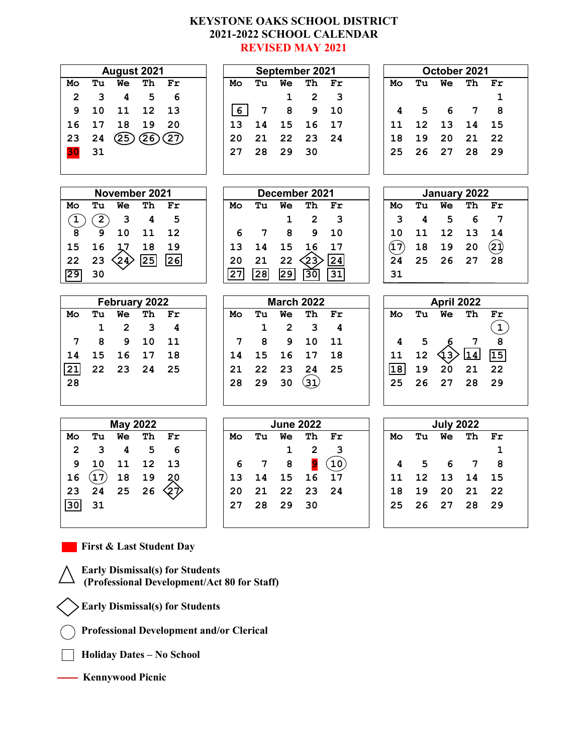#### **KEYSTONE OAKS SCHOOL DISTRICT 2021-2022 SCHOOL CALENDAR REVISED MAY 2021**

| August 2021     |              |                         |                               | September 2021 |                |                 | October 2021     |                         |                 |      |    |                  |    |                            |
|-----------------|--------------|-------------------------|-------------------------------|----------------|----------------|-----------------|------------------|-------------------------|-----------------|------|----|------------------|----|----------------------------|
| Mo              | Tu           | We                      | Th                            | Fr             | Mo             | Tu              | We               | Th                      | Fr              | Mo   | Tu | We               | Тh | Fr                         |
| $\overline{2}$  | 3            | 4                       | 5                             | 6              |                |                 | $\mathbf 1$      | $\overline{2}$          | 3               |      |    |                  |    | 1                          |
| 9               | 10           | 11                      | 12                            | 13             | 6 <sup>1</sup> | 7               | 8                | 9                       | 10              | 4    | 5  | 6                | 7  | 8                          |
| 16              | 17           | 18                      | 19                            | 20             | 13             | 14              | 15               | 16                      | 17              | 11   | 12 | 13               | 14 | 15                         |
| 23              | 24           | (25)                    | $\widetilde{\left(26\right)}$ | 27)            | 20             | 21              | 22               | 23                      | 24              | 18   | 19 | 20               | 21 | 22                         |
| 30              | 31           |                         |                               |                | 27             | 28              | 29               | 30                      |                 | 25   | 26 | 27               | 28 | 29                         |
|                 |              |                         |                               |                |                |                 |                  |                         |                 |      |    |                  |    |                            |
|                 |              |                         |                               |                |                |                 |                  |                         |                 |      |    |                  |    |                            |
| November 2021   |              |                         |                               |                |                |                 | December 2021    |                         | January 2022    |      |    |                  |    |                            |
| Mo              | Tu           | <b>We</b>               | Th                            | Fr             | Mo             | Tu              | Wе               | Th                      | Fr              | Mo   | Tu | Wе               | Th | Fr                         |
| $\mathbf{T}$    | $\boxed{2}$  | 3                       | 4                             | 5              |                |                 | $\mathbf 1$      | $\overline{\mathbf{c}}$ | 3               | 3    | 4  | 5                | 6  | $\overline{7}$             |
| 8               | 9            | 10                      | 11                            | 12             | 6              | 7               | 8                | 9                       | 10              | 10   | 11 | 12               | 13 | 14                         |
| 15              | 16           | 17                      | 18                            | 19             | 13             | 14              | 15               | 16                      | 17              | (17) | 18 | 19               | 20 | $\mathbf{2}\mathbf{j}$     |
| 22              | 23           | (24)                    | 25                            | 26             | 20             | 21              | 22               | 23)                     | 24              | 24   | 25 | 26               | 27 | 28                         |
| $\overline{29}$ | 30           |                         |                               |                | 27             | $\overline{28}$ | $\overline{29}$  | 30                      | 31              | 31   |    |                  |    |                            |
|                 |              |                         |                               |                |                |                 |                  |                         |                 |      |    |                  |    |                            |
|                 |              |                         |                               |                |                |                 |                  |                         |                 |      |    |                  |    |                            |
|                 |              | February 2022           |                               |                |                |                 |                  | <b>March 2022</b>       |                 |      |    | April 2022       |    |                            |
| Mo              | Tu           | <b>We</b>               | Th                            | Fr             | Mo             | Tu              | We               | Th                      | Fr              | Mo   | Tu | We               | Th | $\mathbf{Fr}$              |
|                 | $\mathbf{1}$ | $\overline{2}$          | 3                             | 4              |                | $\mathbf{1}$    | $\overline{2}$   | 3                       | 4               |      |    |                  |    | $\left( \mathbf{1}\right)$ |
| 7               | 8            | 9                       | 10                            | 11             | 7              | 8               | 9                | 10                      | 11              | 4    | 5  |                  | 7  | 8                          |
| 14              | 15           | 16                      | 17                            | 18             | 14             | 15              | 16               | 17                      | 18              | 11   | 12 | ર્વ3             | 14 | 15                         |
| 21              | 22           | 23                      | 24                            | 25             | 21             | 22              | 23               | 24                      | 25              | 18   | 19 | 20               | 21 | 22                         |
| 28              |              |                         |                               |                | 28             | 29              | 30               | $\mathbf{(31)}$         |                 | 25   | 26 | 27               | 28 | 29                         |
|                 |              |                         |                               |                |                |                 |                  |                         |                 |      |    |                  |    |                            |
|                 |              |                         |                               |                |                |                 |                  |                         |                 |      |    |                  |    |                            |
|                 |              | <b>May 2022</b>         |                               |                |                |                 | <b>June 2022</b> |                         |                 |      |    | <b>July 2022</b> |    |                            |
| Mo              | Tu           | <b>We</b>               | Th                            | Fr             | Mo             | Tu              | <b>We</b>        | Th                      | Fr              | Mo   | Tu | We               | Th | Fr                         |
| 2               | 3            | $\overline{\mathbf{4}}$ | 5                             | 6              |                |                 | 1                | 2                       | 3               |      |    |                  |    | $\mathbf 1$                |
| 9               | 10           | 11                      | 12                            | 13             | 6              | 7               | 8                | 9                       | $\overline{10}$ | 4    | 5  | 6                | 7  | 8                          |
| 16              | $\bf (17)$   | 18                      | 19                            | 20             | 13             | 14              | 15               | 16                      | 17              | 11   | 12 | 13               | 14 | 15                         |
| 23              | 24           | 25                      | 26                            | くブ             | 20             | 21              | 22               | 23                      | 24              | 18   | 19 | 20               | 21 | 22                         |
| 30              | 31           |                         |                               |                | 27             | 28              | 29               | 30                      |                 | 25   | 26 | 27               | 28 | 29                         |

**First & Last Student Day**

**Early Dismissal(s) for Students (Professional Development/Act 80 for Staff)**

**Early Dismissal(s) for Students**

**Professional Development and/or Clerical**

**Holiday Dates – No School** 

 **Kennywood Picnic**